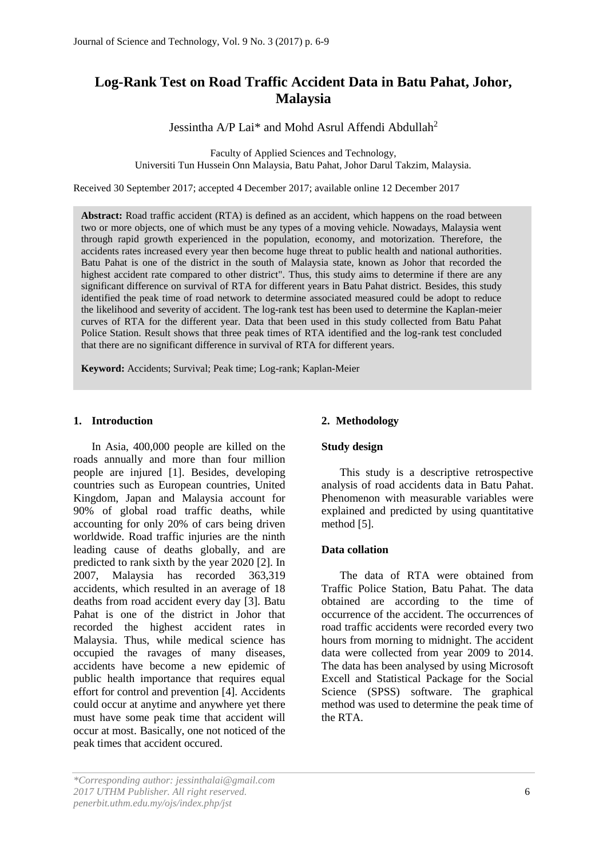# **Log-Rank Test on Road Traffic Accident Data in Batu Pahat, Johor, Malaysia**

Jessintha A/P Lai\* and Mohd Asrul Affendi Abdullah<sup>2</sup>

Faculty of Applied Sciences and Technology, Universiti Tun Hussein Onn Malaysia, Batu Pahat, Johor Darul Takzim, Malaysia.

Received 30 September 2017; accepted 4 December 2017; available online 12 December 2017

**Abstract:** Road traffic accident (RTA) is defined as an accident, which happens on the road between two or more objects, one of which must be any types of a moving vehicle. Nowadays, Malaysia went through rapid growth experienced in the population, economy, and motorization. Therefore, the accidents rates increased every year then become huge threat to public health and national authorities. Batu Pahat is one of the district in the south of Malaysia state, known as Johor that recorded the highest accident rate compared to other district". Thus, this study aims to determine if there are any significant difference on survival of RTA for different years in Batu Pahat district. Besides, this study identified the peak time of road network to determine associated measured could be adopt to reduce the likelihood and severity of accident. The log-rank test has been used to determine the Kaplan-meier curves of RTA for the different year. Data that been used in this study collected from Batu Pahat Police Station. Result shows that three peak times of RTA identified and the log-rank test concluded that there are no significant difference in survival of RTA for different years.

**Keyword:** Accidents; Survival; Peak time; Log-rank; Kaplan-Meier

## **1. Introduction**

In Asia, 400,000 people are killed on the roads annually and more than four million people are injured [1]. Besides, developing countries such as European countries, United Kingdom, Japan and Malaysia account for 90% of global road traffic deaths, while accounting for only 20% of cars being driven worldwide. Road traffic injuries are the ninth leading cause of deaths globally, and are predicted to rank sixth by the year 2020 [2]. In 2007, Malaysia has recorded 363,319 accidents, which resulted in an average of 18 deaths from road accident every day [3]. Batu Pahat is one of the district in Johor that recorded the highest accident rates in Malaysia. Thus, while medical science has occupied the ravages of many diseases, accidents have become a new epidemic of public health importance that requires equal effort for control and prevention [4]. Accidents could occur at anytime and anywhere yet there must have some peak time that accident will occur at most. Basically, one not noticed of the peak times that accident occured.

## **2. Methodology**

## **Study design**

This study is a descriptive retrospective analysis of road accidents data in Batu Pahat. Phenomenon with measurable variables were explained and predicted by using quantitative method [5].

### **Data collation**

The data of RTA were obtained from Traffic Police Station, Batu Pahat. The data obtained are according to the time of occurrence of the accident. The occurrences of road traffic accidents were recorded every two hours from morning to midnight. The accident data were collected from year 2009 to 2014. The data has been analysed by using Microsoft Excell and Statistical Package for the Social Science (SPSS) software. The graphical method was used to determine the peak time of the RTA.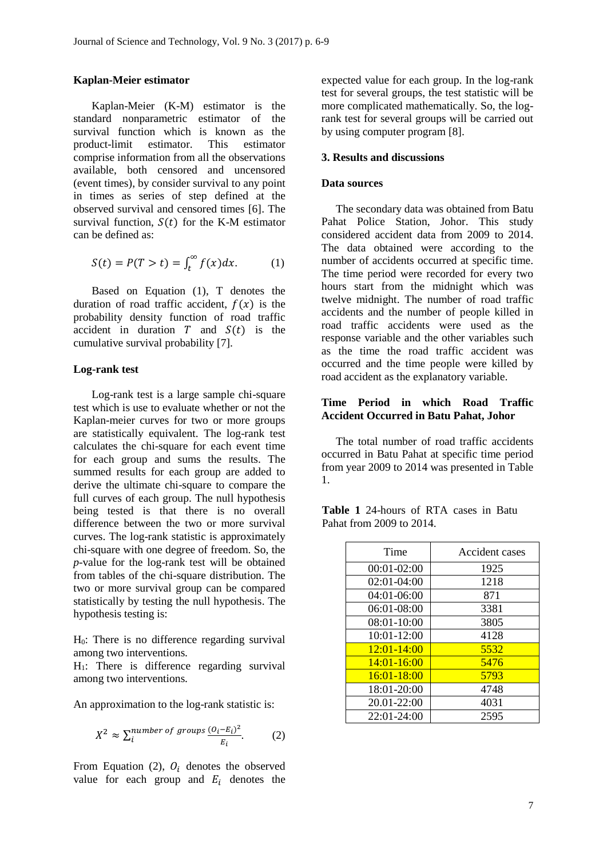### **Kaplan-Meier estimator**

Kaplan-Meier (K-M) estimator is the standard nonparametric estimator of the survival function which is known as the product-limit estimator. This estimator comprise information from all the observations available, both censored and uncensored (event times), by consider survival to any point in times as series of step defined at the observed survival and censored times [6]. The survival function,  $S(t)$  for the K-M estimator can be defined as:

$$
S(t) = P(T > t) = \int_{t}^{\infty} f(x) dx.
$$
 (1)

Based on Equation (1), T denotes the duration of road traffic accident,  $f(x)$  is the probability density function of road traffic accident in duration  $T$  and  $S(t)$  is the cumulative survival probability [7].

#### **Log-rank test**

Log-rank test is a large sample chi-square test which is use to evaluate whether or not the Kaplan-meier curves for two or more groups are statistically equivalent. The log-rank test calculates the chi-square for each event time for each group and sums the results. The summed results for each group are added to derive the ultimate chi-square to compare the full curves of each group. The null hypothesis being tested is that there is no overall difference between the two or more survival curves. The log-rank statistic is approximately chi-square with one degree of freedom. So, the *p*-value for the log-rank test will be obtained from tables of the chi-square distribution. The two or more survival group can be compared statistically by testing the null hypothesis. The hypothesis testing is:

H0: There is no difference regarding survival among two interventions.

 $H_1$ : There is difference regarding survival among two interventions.

An approximation to the log-rank statistic is:

$$
X^2 \approx \sum_{i} \frac{number\ of\ groups}{E_i} \frac{(O_i - E_i)^2}{E_i}.
$$
 (2)

From Equation (2),  $O_i$  denotes the observed value for each group and  $E_i$  denotes the expected value for each group. In the log-rank test for several groups, the test statistic will be more complicated mathematically. So, the logrank test for several groups will be carried out by using computer program [8].

#### **3. Results and discussions**

## **Data sources**

The secondary data was obtained from Batu Pahat Police Station, Johor. This study considered accident data from 2009 to 2014. The data obtained were according to the number of accidents occurred at specific time. The time period were recorded for every two hours start from the midnight which was twelve midnight. The number of road traffic accidents and the number of people killed in road traffic accidents were used as the response variable and the other variables such as the time the road traffic accident was occurred and the time people were killed by road accident as the explanatory variable.

# **Time Period in which Road Traffic Accident Occurred in Batu Pahat, Johor**

The total number of road traffic accidents occurred in Batu Pahat at specific time period from year 2009 to 2014 was presented in Table 1.

|  | <b>Table 1</b> 24-hours of RTA cases in Batu |  |  |  |
|--|----------------------------------------------|--|--|--|
|  | Pahat from 2009 to 2014.                     |  |  |  |

| Time            | Accident cases |
|-----------------|----------------|
| $00:01-02:00$   | 1925           |
| $02:01-04:00$   | 1218           |
| 04:01-06:00     | 871            |
| 06:01-08:00     | 3381           |
| $08:01 - 10:00$ | 3805           |
| 10:01-12:00     | 4128           |
| $12:01 - 14:00$ | 5532           |
| $14:01 - 16:00$ | 5476           |
| $16:01 - 18:00$ | 5793           |
| 18:01-20:00     | 4748           |
| 20.01-22:00     | 4031           |
| $22:01 - 24:00$ | 2595           |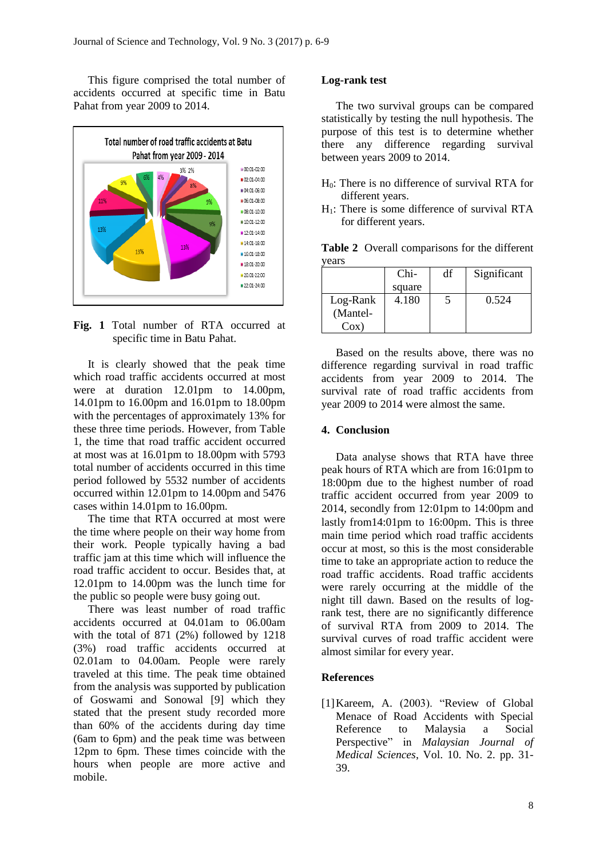This figure comprised the total number of accidents occurred at specific time in Batu Pahat from year 2009 to 2014.



**Fig. 1** Total number of RTA occurred at specific time in Batu Pahat.

It is clearly showed that the peak time which road traffic accidents occurred at most were at duration 12.01pm to 14.00pm, 14.01pm to 16.00pm and 16.01pm to 18.00pm with the percentages of approximately 13% for these three time periods. However, from Table 1, the time that road traffic accident occurred at most was at 16.01pm to 18.00pm with 5793 total number of accidents occurred in this time period followed by 5532 number of accidents occurred within 12.01pm to 14.00pm and 5476 cases within 14.01pm to 16.00pm.

The time that RTA occurred at most were the time where people on their way home from their work. People typically having a bad traffic jam at this time which will influence the road traffic accident to occur. Besides that, at 12.01pm to 14.00pm was the lunch time for the public so people were busy going out.

There was least number of road traffic accidents occurred at 04.01am to 06.00am with the total of 871 (2%) followed by 1218 (3%) road traffic accidents occurred at 02.01am to 04.00am. People were rarely traveled at this time. The peak time obtained from the analysis was supported by publication of Goswami and Sonowal [9] which they stated that the present study recorded more than 60% of the accidents during day time (6am to 6pm) and the peak time was between 12pm to 6pm. These times coincide with the hours when people are more active and mobile.

# **Log-rank test**

The two survival groups can be compared statistically by testing the null hypothesis. The purpose of this test is to determine whether there any difference regarding survival between years 2009 to 2014.

- H0: There is no difference of survival RTA for different years.
- $H_1$ : There is some difference of survival RTA for different years.

**Table 2** Overall comparisons for the different years

|          | $Chi-$ | df | Significant |
|----------|--------|----|-------------|
|          | square |    |             |
| Log-Rank | 4.180  |    | 0.524       |
| (Mantel- |        |    |             |
| $Cox$ )  |        |    |             |

Based on the results above, there was no difference regarding survival in road traffic accidents from year 2009 to 2014. The survival rate of road traffic accidents from year 2009 to 2014 were almost the same.

# **4. Conclusion**

Data analyse shows that RTA have three peak hours of RTA which are from 16:01pm to 18:00pm due to the highest number of road traffic accident occurred from year 2009 to 2014, secondly from 12:01pm to 14:00pm and lastly from14:01pm to 16:00pm. This is three main time period which road traffic accidents occur at most, so this is the most considerable time to take an appropriate action to reduce the road traffic accidents. Road traffic accidents were rarely occurring at the middle of the night till dawn. Based on the results of logrank test, there are no significantly difference of survival RTA from 2009 to 2014. The survival curves of road traffic accident were almost similar for every year.

# **References**

[1]Kareem, A. (2003). "Review of Global Menace of Road Accidents with Special Reference to Malaysia a Social Perspective" in *Malaysian Journal of Medical Sciences*, Vol. 10. No. 2. pp. 31- 39.